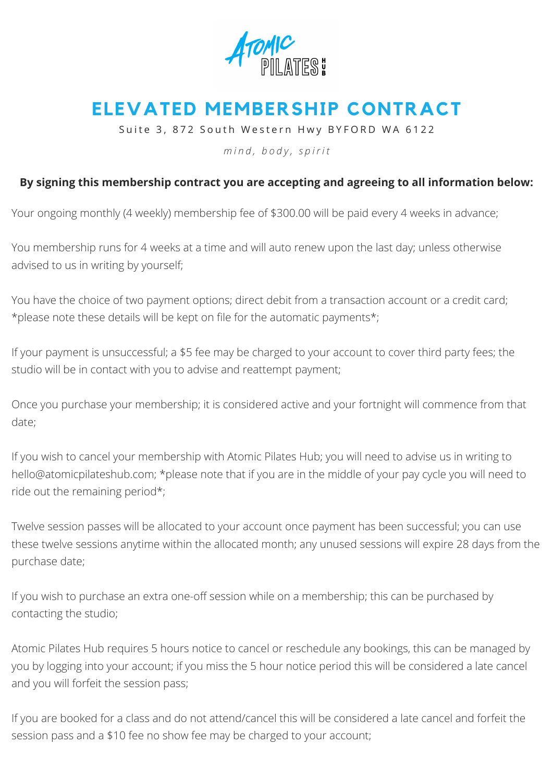

## **ELEVATED MEMBERSHIP CONTRACT**

Suite 3, 872 South Western Hwy BYFORD WA 6122

*m i n d , b o d y , s p i r i t*

## **By signing this membership contract you are accepting and agreeing to all information below:**

Your ongoing monthly (4 weekly) membership fee of \$300.00 will be paid every 4 weeks in advance;

You membership runs for 4 weeks at a time and will auto renew upon the last day; unless otherwise advised to us in writing by yourself;

You have the choice of two payment options; direct debit from a transaction account or a credit card; \*please note these details will be kept on file for the automatic payments\*;

If your payment is unsuccessful; a \$5 fee may be charged to your account to cover third party fees; the studio will be in contact with you to advise and reattempt payment;

Once you purchase your membership; it is considered active and your fortnight will commence from that date;

If you wish to cancel your membership with Atomic Pilates Hub; you will need to advise us in writing to [hello@atomicpilateshub.com;](mailto:hello@atomicpilates.com.au) \*please note that if you are in the middle of your pay cycle you will need to ride out the remaining period\*;

Twelve session passes will be allocated to your account once payment has been successful; you can use these twelve sessions anytime within the allocated month; any unused sessions will expire 28 days from the purchase date;

If you wish to purchase an extra one-off session while on a membership; this can be purchased by contacting the studio;

Atomic Pilates Hub requires 5 hours notice to cancel or reschedule any bookings, this can be managed by you by logging into your account; if you miss the 5 hour notice period this will be considered a late cancel and you will forfeit the session pass;

If you are booked for a class and do not attend/cancel this will be considered a late cancel and forfeit the session pass and a \$10 fee no show fee may be charged to your account;